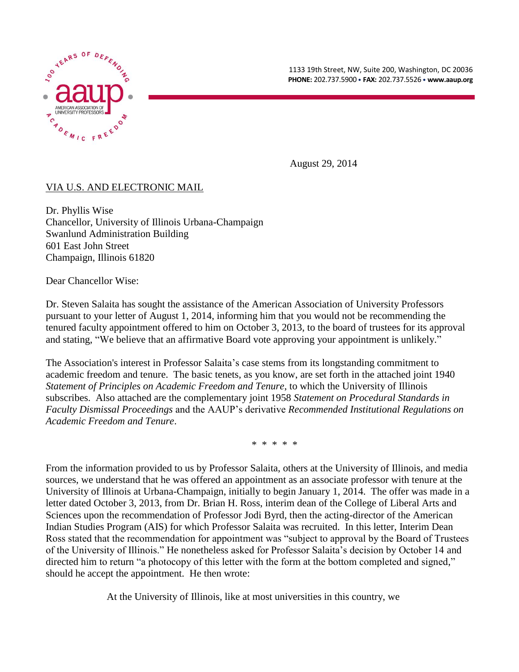



August 29, 2014

## VIA U.S. AND ELECTRONIC MAIL

Dr. Phyllis Wise Chancellor, University of Illinois Urbana-Champaign Swanlund Administration Building 601 East John Street Champaign, Illinois 61820

Dear Chancellor Wise:

Dr. Steven Salaita has sought the assistance of the American Association of University Professors pursuant to your letter of August 1, 2014, informing him that you would not be recommending the tenured faculty appointment offered to him on October 3, 2013, to the board of trustees for its approval and stating, "We believe that an affirmative Board vote approving your appointment is unlikely."

The Association's interest in Professor Salaita's case stems from its longstanding commitment to academic freedom and tenure. The basic tenets, as you know, are set forth in the attached joint 1940 *Statement of Principles on Academic Freedom and Tenure*, to which the University of Illinois subscribes. Also attached are the complementary joint 1958 *Statement on Procedural Standards in Faculty Dismissal Proceedings* and the AAUP's derivative *Recommended Institutional Regulations on Academic Freedom and Tenure*.

\* \* \* \* \*

From the information provided to us by Professor Salaita, others at the University of Illinois, and media sources, we understand that he was offered an appointment as an associate professor with tenure at the University of Illinois at Urbana-Champaign, initially to begin January 1, 2014. The offer was made in a letter dated October 3, 2013, from Dr. Brian H. Ross, interim dean of the College of Liberal Arts and Sciences upon the recommendation of Professor Jodi Byrd, then the acting-director of the American Indian Studies Program (AIS) for which Professor Salaita was recruited. In this letter, Interim Dean Ross stated that the recommendation for appointment was "subject to approval by the Board of Trustees of the University of Illinois." He nonetheless asked for Professor Salaita's decision by October 14 and directed him to return "a photocopy of this letter with the form at the bottom completed and signed," should he accept the appointment. He then wrote:

At the University of Illinois, like at most universities in this country, we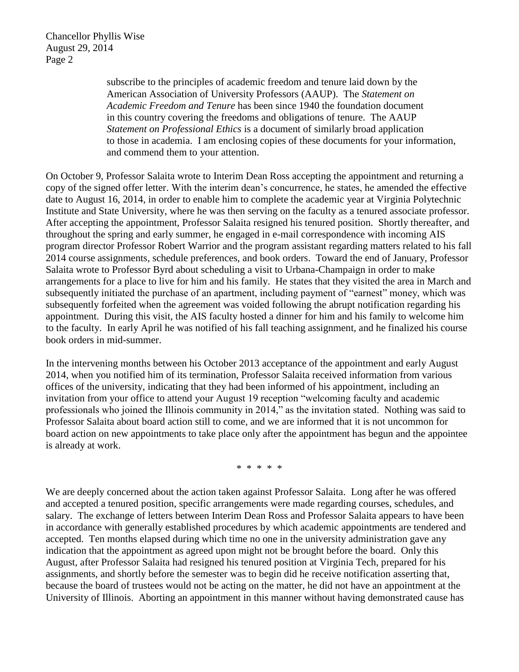Chancellor Phyllis Wise August 29, 2014 Page 2

> subscribe to the principles of academic freedom and tenure laid down by the American Association of University Professors (AAUP). The *Statement on Academic Freedom and Tenure* has been since 1940 the foundation document in this country covering the freedoms and obligations of tenure. The AAUP *Statement on Professional Ethics* is a document of similarly broad application to those in academia. I am enclosing copies of these documents for your information, and commend them to your attention.

On October 9, Professor Salaita wrote to Interim Dean Ross accepting the appointment and returning a copy of the signed offer letter. With the interim dean's concurrence, he states, he amended the effective date to August 16, 2014, in order to enable him to complete the academic year at Virginia Polytechnic Institute and State University, where he was then serving on the faculty as a tenured associate professor. After accepting the appointment, Professor Salaita resigned his tenured position. Shortly thereafter, and throughout the spring and early summer, he engaged in e-mail correspondence with incoming AIS program director Professor Robert Warrior and the program assistant regarding matters related to his fall 2014 course assignments, schedule preferences, and book orders. Toward the end of January, Professor Salaita wrote to Professor Byrd about scheduling a visit to Urbana-Champaign in order to make arrangements for a place to live for him and his family. He states that they visited the area in March and subsequently initiated the purchase of an apartment, including payment of "earnest" money, which was subsequently forfeited when the agreement was voided following the abrupt notification regarding his appointment. During this visit, the AIS faculty hosted a dinner for him and his family to welcome him to the faculty. In early April he was notified of his fall teaching assignment, and he finalized his course book orders in mid-summer.

In the intervening months between his October 2013 acceptance of the appointment and early August 2014, when you notified him of its termination, Professor Salaita received information from various offices of the university, indicating that they had been informed of his appointment, including an invitation from your office to attend your August 19 reception "welcoming faculty and academic professionals who joined the Illinois community in 2014," as the invitation stated. Nothing was said to Professor Salaita about board action still to come, and we are informed that it is not uncommon for board action on new appointments to take place only after the appointment has begun and the appointee is already at work.

\* \* \* \* \*

We are deeply concerned about the action taken against Professor Salaita. Long after he was offered and accepted a tenured position, specific arrangements were made regarding courses, schedules, and salary. The exchange of letters between Interim Dean Ross and Professor Salaita appears to have been in accordance with generally established procedures by which academic appointments are tendered and accepted. Ten months elapsed during which time no one in the university administration gave any indication that the appointment as agreed upon might not be brought before the board. Only this August, after Professor Salaita had resigned his tenured position at Virginia Tech, prepared for his assignments, and shortly before the semester was to begin did he receive notification asserting that, because the board of trustees would not be acting on the matter, he did not have an appointment at the University of Illinois. Aborting an appointment in this manner without having demonstrated cause has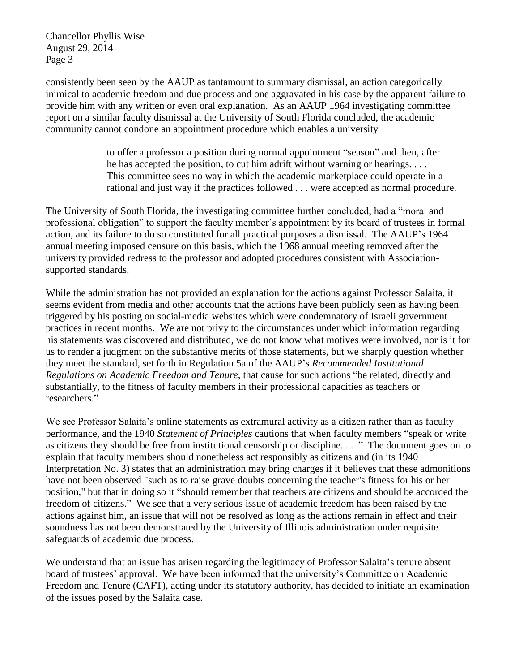Chancellor Phyllis Wise August 29, 2014 Page 3

consistently been seen by the AAUP as tantamount to summary dismissal, an action categorically inimical to academic freedom and due process and one aggravated in his case by the apparent failure to provide him with any written or even oral explanation. As an AAUP 1964 investigating committee report on a similar faculty dismissal at the University of South Florida concluded, the academic community cannot condone an appointment procedure which enables a university

> to offer a professor a position during normal appointment "season" and then, after he has accepted the position, to cut him adrift without warning or hearings. . . . This committee sees no way in which the academic marketplace could operate in a rational and just way if the practices followed . . . were accepted as normal procedure.

The University of South Florida, the investigating committee further concluded, had a "moral and professional obligation" to support the faculty member's appointment by its board of trustees in formal action, and its failure to do so constituted for all practical purposes a dismissal. The AAUP's 1964 annual meeting imposed censure on this basis, which the 1968 annual meeting removed after the university provided redress to the professor and adopted procedures consistent with Associationsupported standards.

While the administration has not provided an explanation for the actions against Professor Salaita, it seems evident from media and other accounts that the actions have been publicly seen as having been triggered by his posting on social-media websites which were condemnatory of Israeli government practices in recent months. We are not privy to the circumstances under which information regarding his statements was discovered and distributed, we do not know what motives were involved, nor is it for us to render a judgment on the substantive merits of those statements, but we sharply question whether they meet the standard, set forth in Regulation 5a of the AAUP's *Recommended Institutional Regulations on Academic Freedom and Tenure*, that cause for such actions "be related, directly and substantially, to the fitness of faculty members in their professional capacities as teachers or researchers."

We see Professor Salaita's online statements as extramural activity as a citizen rather than as faculty performance, and the 1940 *Statement of Principles* cautions that when faculty members "speak or write as citizens they should be free from institutional censorship or discipline. . . ." The document goes on to explain that faculty members should nonetheless act responsibly as citizens and (in its 1940 Interpretation No. 3) states that an administration may bring charges if it believes that these admonitions have not been observed "such as to raise grave doubts concerning the teacher's fitness for his or her position," but that in doing so it "should remember that teachers are citizens and should be accorded the freedom of citizens." We see that a very serious issue of academic freedom has been raised by the actions against him, an issue that will not be resolved as long as the actions remain in effect and their soundness has not been demonstrated by the University of Illinois administration under requisite safeguards of academic due process.

We understand that an issue has arisen regarding the legitimacy of Professor Salaita's tenure absent board of trustees' approval. We have been informed that the university's Committee on Academic Freedom and Tenure (CAFT), acting under its statutory authority, has decided to initiate an examination of the issues posed by the Salaita case.